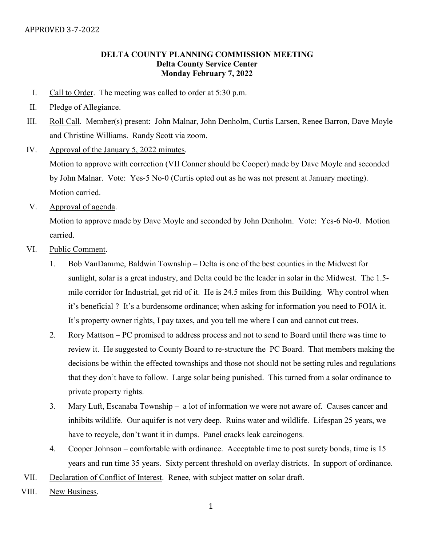### DELTA COUNTY PLANNING COMMISSION MEETING Delta County Service Center Monday February 7, 2022

- I. Call to Order. The meeting was called to order at 5:30 p.m.
- II. Pledge of Allegiance.
- III. Roll Call. Member(s) present: John Malnar, John Denholm, Curtis Larsen, Renee Barron, Dave Moyle and Christine Williams. Randy Scott via zoom.
- IV. Approval of the January 5, 2022 minutes.

Motion to approve with correction (VII Conner should be Cooper) made by Dave Moyle and seconded by John Malnar. Vote: Yes-5 No-0 (Curtis opted out as he was not present at January meeting). Motion carried.

V. Approval of agenda.

Motion to approve made by Dave Moyle and seconded by John Denholm. Vote: Yes-6 No-0. Motion carried.

- VI. Public Comment.
	- 1. Bob VanDamme, Baldwin Township Delta is one of the best counties in the Midwest for sunlight, solar is a great industry, and Delta could be the leader in solar in the Midwest. The 1.5 mile corridor for Industrial, get rid of it. He is 24.5 miles from this Building. Why control when it's beneficial ? It's a burdensome ordinance; when asking for information you need to FOIA it. It's property owner rights, I pay taxes, and you tell me where I can and cannot cut trees.
	- 2. Rory Mattson PC promised to address process and not to send to Board until there was time to review it. He suggested to County Board to re-structure the PC Board. That members making the decisions be within the effected townships and those not should not be setting rules and regulations that they don't have to follow. Large solar being punished. This turned from a solar ordinance to private property rights.
	- 3. Mary Luft, Escanaba Township a lot of information we were not aware of. Causes cancer and inhibits wildlife. Our aquifer is not very deep. Ruins water and wildlife. Lifespan 25 years, we have to recycle, don't want it in dumps. Panel cracks leak carcinogens.
	- 4. Cooper Johnson comfortable with ordinance. Acceptable time to post surety bonds, time is 15 years and run time 35 years. Sixty percent threshold on overlay districts. In support of ordinance.
- VII. Declaration of Conflict of Interest. Renee, with subject matter on solar draft.
- VIII. New Business.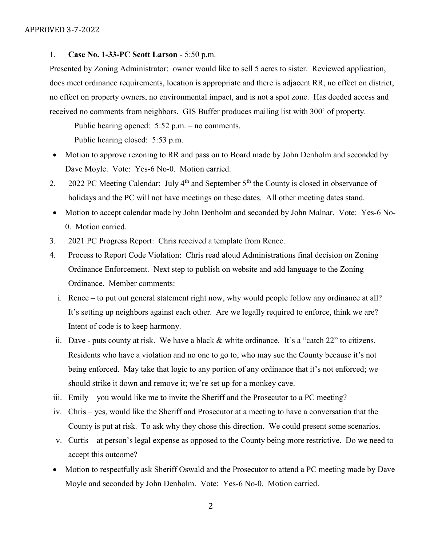#### 1. Case No. 1-33-PC Scott Larson - 5:50 p.m.

Presented by Zoning Administrator: owner would like to sell 5 acres to sister. Reviewed application, does meet ordinance requirements, location is appropriate and there is adjacent RR, no effect on district, no effect on property owners, no environmental impact, and is not a spot zone. Has deeded access and received no comments from neighbors. GIS Buffer produces mailing list with 300' of property.

Public hearing opened: 5:52 p.m. – no comments. Public hearing closed: 5:53 p.m.

- Motion to approve rezoning to RR and pass on to Board made by John Denholm and seconded by Dave Moyle. Vote: Yes-6 No-0. Motion carried.
- 2. 2022 PC Meeting Calendar: July  $4<sup>th</sup>$  and September  $5<sup>th</sup>$  the County is closed in observance of holidays and the PC will not have meetings on these dates. All other meeting dates stand.
- Motion to accept calendar made by John Denholm and seconded by John Malnar. Vote: Yes-6 No-0. Motion carried.
- 3. 2021 PC Progress Report: Chris received a template from Renee.
- 4. Process to Report Code Violation: Chris read aloud Administrations final decision on Zoning Ordinance Enforcement. Next step to publish on website and add language to the Zoning Ordinance. Member comments:
	- i. Renee to put out general statement right now, why would people follow any ordinance at all? It's setting up neighbors against each other. Are we legally required to enforce, think we are? Intent of code is to keep harmony.
	- ii. Dave puts county at risk. We have a black & white ordinance. It's a "catch 22" to citizens. Residents who have a violation and no one to go to, who may sue the County because it's not being enforced. May take that logic to any portion of any ordinance that it's not enforced; we should strike it down and remove it; we're set up for a monkey cave.
- iii. Emily you would like me to invite the Sheriff and the Prosecutor to a PC meeting?
- iv. Chris yes, would like the Sheriff and Prosecutor at a meeting to have a conversation that the County is put at risk. To ask why they chose this direction. We could present some scenarios.
- v. Curtis at person's legal expense as opposed to the County being more restrictive. Do we need to accept this outcome?
- Motion to respectfully ask Sheriff Oswald and the Prosecutor to attend a PC meeting made by Dave Moyle and seconded by John Denholm. Vote: Yes-6 No-0. Motion carried.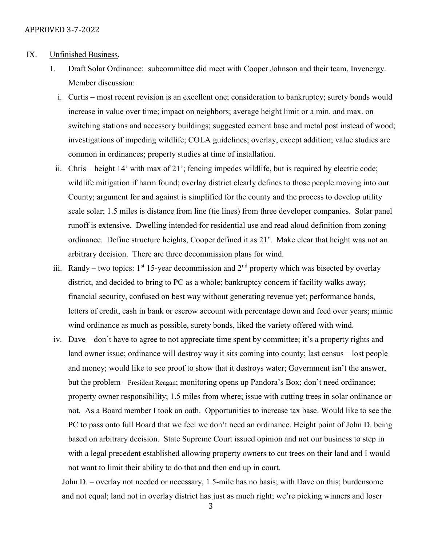- IX. Unfinished Business.
	- 1. Draft Solar Ordinance: subcommittee did meet with Cooper Johnson and their team, Invenergy. Member discussion:
		- i. Curtis most recent revision is an excellent one; consideration to bankruptcy; surety bonds would increase in value over time; impact on neighbors; average height limit or a min. and max. on switching stations and accessory buildings; suggested cement base and metal post instead of wood; investigations of impeding wildlife; COLA guidelines; overlay, except addition; value studies are common in ordinances; property studies at time of installation.
		- ii. Chris height 14' with max of 21'; fencing impedes wildlife, but is required by electric code; wildlife mitigation if harm found; overlay district clearly defines to those people moving into our County; argument for and against is simplified for the county and the process to develop utility scale solar; 1.5 miles is distance from line (tie lines) from three developer companies. Solar panel runoff is extensive. Dwelling intended for residential use and read aloud definition from zoning ordinance. Define structure heights, Cooper defined it as 21'. Make clear that height was not an arbitrary decision. There are three decommission plans for wind.
	- iii. Randy two topics:  $1<sup>st</sup> 15$ -year decommission and  $2<sup>nd</sup>$  property which was bisected by overlay district, and decided to bring to PC as a whole; bankruptcy concern if facility walks away; financial security, confused on best way without generating revenue yet; performance bonds, letters of credit, cash in bank or escrow account with percentage down and feed over years; mimic wind ordinance as much as possible, surety bonds, liked the variety offered with wind.
	- iv. Dave don't have to agree to not appreciate time spent by committee; it's a property rights and land owner issue; ordinance will destroy way it sits coming into county; last census – lost people and money; would like to see proof to show that it destroys water; Government isn't the answer, but the problem – President Reagan; monitoring opens up Pandora's Box; don't need ordinance; property owner responsibility; 1.5 miles from where; issue with cutting trees in solar ordinance or not. As a Board member I took an oath. Opportunities to increase tax base. Would like to see the PC to pass onto full Board that we feel we don't need an ordinance. Height point of John D. being based on arbitrary decision. State Supreme Court issued opinion and not our business to step in with a legal precedent established allowing property owners to cut trees on their land and I would not want to limit their ability to do that and then end up in court.

John D. – overlay not needed or necessary, 1.5-mile has no basis; with Dave on this; burdensome and not equal; land not in overlay district has just as much right; we're picking winners and loser

3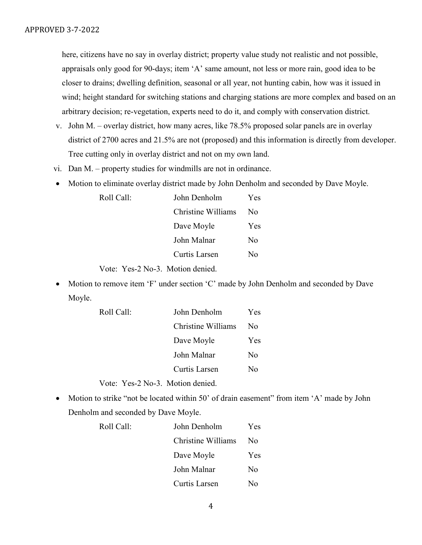here, citizens have no say in overlay district; property value study not realistic and not possible, appraisals only good for 90-days; item 'A' same amount, not less or more rain, good idea to be closer to drains; dwelling definition, seasonal or all year, not hunting cabin, how was it issued in wind; height standard for switching stations and charging stations are more complex and based on an arbitrary decision; re-vegetation, experts need to do it, and comply with conservation district.

- v. John M. overlay district, how many acres, like 78.5% proposed solar panels are in overlay district of 2700 acres and 21.5% are not (proposed) and this information is directly from developer. Tree cutting only in overlay district and not on my own land.
- vi. Dan M. property studies for windmills are not in ordinance.
- Motion to eliminate overlay district made by John Denholm and seconded by Dave Moyle.

| Roll Call: | John Denholm       | Yes |
|------------|--------------------|-----|
|            | Christine Williams | No  |
|            | Dave Moyle         | Yes |
|            | John Malnar        | No  |
|            | Curtis Larsen      | No  |
|            |                    |     |

Vote: Yes-2 No-3. Motion denied.

 Motion to remove item 'F' under section 'C' made by John Denholm and seconded by Dave Moyle.

| Roll Call: | John Denholm       | Yes |
|------------|--------------------|-----|
|            | Christine Williams | Nο  |
|            | Dave Moyle         | Yes |
|            | John Malnar        | No  |
|            | Curtis Larsen      | Nο  |
|            |                    |     |

Vote: Yes-2 No-3. Motion denied.

Motion to strike "not be located within 50' of drain easement" from item 'A' made by John Denholm and seconded by Dave Moyle.

| Roll Call: | John Denholm       | Yes.           |
|------------|--------------------|----------------|
|            | Christine Williams | N <sub>0</sub> |
|            | Dave Moyle         | <b>Yes</b>     |
|            | John Malnar        | No             |
|            | Curtis Larsen      | N٥             |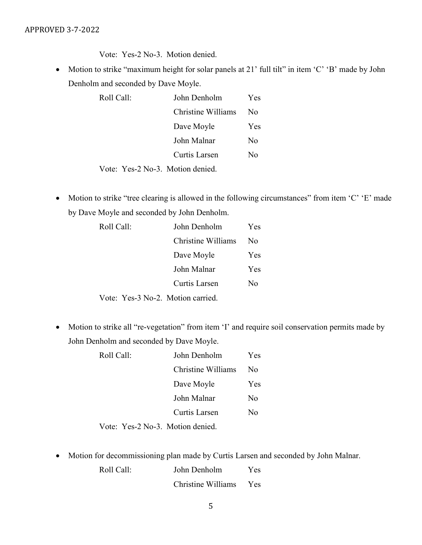Vote: Yes-2 No-3. Motion denied.

• Motion to strike "maximum height for solar panels at 21' full tilt" in item 'C' 'B' made by John Denholm and seconded by Dave Moyle.

| Roll Call:                       | John Denholm       | <b>Yes</b> |
|----------------------------------|--------------------|------------|
|                                  | Christine Williams | No         |
|                                  | Dave Moyle         | <b>Yes</b> |
|                                  | John Malnar        | No         |
|                                  | Curtis Larsen      | No         |
| Vote: Yes-2 No-3. Motion denied. |                    |            |

• Motion to strike "tree clearing is allowed in the following circumstances" from item 'C' 'E' made by Dave Moyle and seconded by John Denholm.

| Roll Call:                        | John Denholm       | Yes.       |
|-----------------------------------|--------------------|------------|
|                                   | Christine Williams | No.        |
|                                   | Dave Moyle         | <b>Yes</b> |
|                                   | John Malnar        | <b>Yes</b> |
|                                   | Curtis Larsen      | No         |
| Vote: Yes-3 No-2. Motion carried. |                    |            |

• Motion to strike all "re-vegetation" from item 'I' and require soil conservation permits made by John Denholm and seconded by Dave Moyle.

| Roll Call: | John Denholm  | Yes.                             |     |
|------------|---------------|----------------------------------|-----|
|            |               | Christine Williams               | No. |
|            |               | Dave Moyle                       | Yes |
|            |               | John Malnar                      | No  |
|            | Curtis Larsen | No                               |     |
|            |               | Vote: Yes-2 No-3. Motion denied. |     |

Motion for decommissioning plan made by Curtis Larsen and seconded by John Malnar.

| Roll Call: | John Denholm       | Yes. |
|------------|--------------------|------|
|            | Christine Williams | Yes  |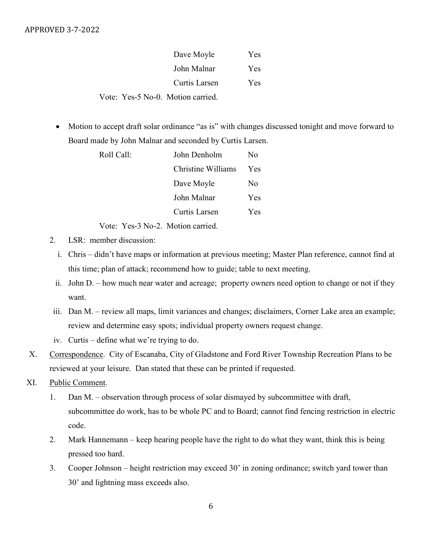## APPROVED 3-7-2022

| Dave Moyle                        | <b>Yes</b> |
|-----------------------------------|------------|
| John Malnar                       | Yes        |
| Curtis Larsen                     | Yes        |
| Vote: Yes-5 No-0. Motion carried. |            |

 Motion to accept draft solar ordinance "as is" with changes discussed tonight and move forward to Board made by John Malnar and seconded by Curtis Larsen.

| Roll Call: | John Denholm       | No             |
|------------|--------------------|----------------|
|            | Christine Williams | <b>Yes</b>     |
|            | Dave Moyle         | N <sub>0</sub> |
|            | John Malnar        | <b>Yes</b>     |
|            | Curtis Larsen      | <b>Yes</b>     |
|            |                    |                |

Vote: Yes-3 No-2. Motion carried.

- 2. LSR: member discussion:
	- i. Chris didn't have maps or information at previous meeting; Master Plan reference, cannot find at this time; plan of attack; recommend how to guide; table to next meeting.
	- ii. John D. how much near water and acreage; property owners need option to change or not if they want.
- iii. Dan M. review all maps, limit variances and changes; disclaimers, Corner Lake area an example; review and determine easy spots; individual property owners request change.
- iv. Curtis define what we're trying to do.
- X. Correspondence. City of Escanaba, City of Gladstone and Ford River Township Recreation Plans to be reviewed at your leisure. Dan stated that these can be printed if requested.
- XI. Public Comment.
	- 1. Dan M. observation through process of solar dismayed by subcommittee with draft, subcommittee do work, has to be whole PC and to Board; cannot find fencing restriction in electric code.
	- 2. Mark Hannemann keep hearing people have the right to do what they want, think this is being pressed too hard.
	- 3. Cooper Johnson height restriction may exceed 30' in zoning ordinance; switch yard tower than 30' and lightning mass exceeds also.